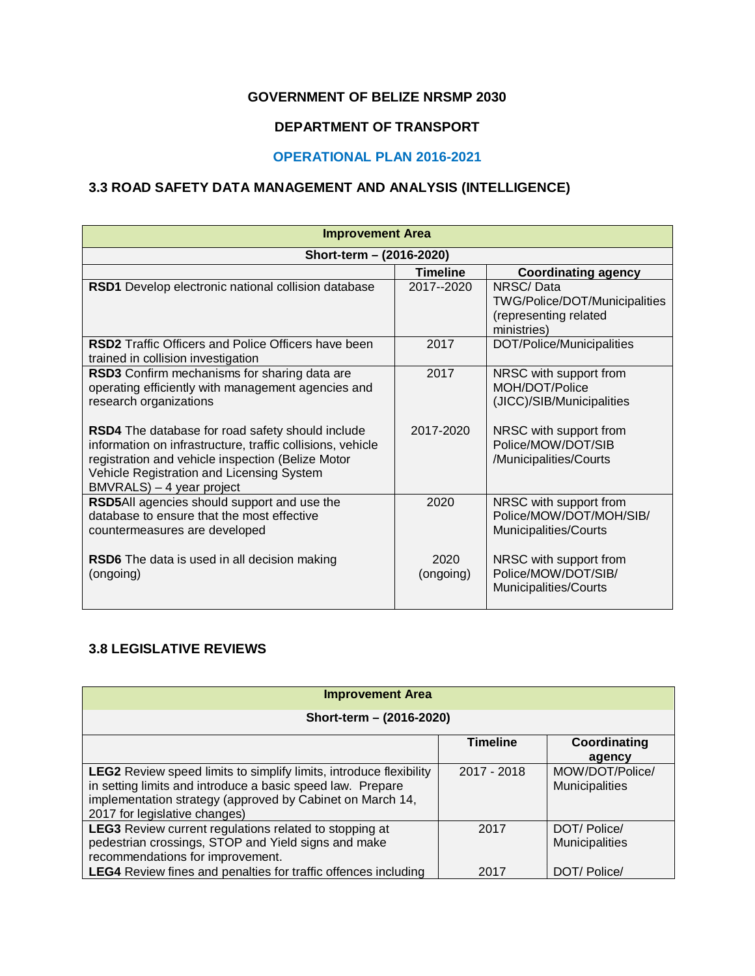#### **GOVERNMENT OF BELIZE NRSMP 2030**

### **DEPARTMENT OF TRANSPORT**

### **OPERATIONAL PLAN 2016-2021**

#### **3.3 ROAD SAFETY DATA MANAGEMENT AND ANALYSIS (INTELLIGENCE)**

| <b>Improvement Area</b>                                                                                                                                                                                                                       |                   |                                                                                           |  |  |  |  |
|-----------------------------------------------------------------------------------------------------------------------------------------------------------------------------------------------------------------------------------------------|-------------------|-------------------------------------------------------------------------------------------|--|--|--|--|
| Short-term - (2016-2020)                                                                                                                                                                                                                      |                   |                                                                                           |  |  |  |  |
|                                                                                                                                                                                                                                               | <b>Timeline</b>   | <b>Coordinating agency</b>                                                                |  |  |  |  |
| RSD1 Develop electronic national collision database                                                                                                                                                                                           | 2017--2020        | NRSC/Data<br><b>TWG/Police/DOT/Municipalities</b><br>(representing related<br>ministries) |  |  |  |  |
| <b>RSD2</b> Traffic Officers and Police Officers have been<br>trained in collision investigation                                                                                                                                              | 2017              | DOT/Police/Municipalities                                                                 |  |  |  |  |
| RSD3 Confirm mechanisms for sharing data are<br>operating efficiently with management agencies and<br>research organizations                                                                                                                  | 2017              | NRSC with support from<br>MOH/DOT/Police<br>(JICC)/SIB/Municipalities                     |  |  |  |  |
| RSD4 The database for road safety should include<br>information on infrastructure, traffic collisions, vehicle<br>registration and vehicle inspection (Belize Motor<br>Vehicle Registration and Licensing System<br>BMVRALS) - 4 year project | 2017-2020         | NRSC with support from<br>Police/MOW/DOT/SIB<br>/Municipalities/Courts                    |  |  |  |  |
| RSD5All agencies should support and use the<br>database to ensure that the most effective<br>countermeasures are developed                                                                                                                    | 2020              | NRSC with support from<br>Police/MOW/DOT/MOH/SIB/<br>Municipalities/Courts                |  |  |  |  |
| <b>RSD6</b> The data is used in all decision making<br>(ongoing)                                                                                                                                                                              | 2020<br>(ongoing) | NRSC with support from<br>Police/MOW/DOT/SIB/<br>Municipalities/Courts                    |  |  |  |  |

#### **3.8 LEGISLATIVE REVIEWS**

| <b>Improvement Area</b>                                                                                                                                                                                                               |                 |                                   |  |  |
|---------------------------------------------------------------------------------------------------------------------------------------------------------------------------------------------------------------------------------------|-----------------|-----------------------------------|--|--|
| Short-term - (2016-2020)                                                                                                                                                                                                              |                 |                                   |  |  |
|                                                                                                                                                                                                                                       | <b>Timeline</b> | Coordinating<br>agency            |  |  |
| <b>LEG2</b> Review speed limits to simplify limits, introduce flexibility<br>in setting limits and introduce a basic speed law. Prepare<br>implementation strategy (approved by Cabinet on March 14,<br>2017 for legislative changes) | $2017 - 2018$   | MOW/DOT/Police/<br>Municipalities |  |  |
| <b>LEG3</b> Review current regulations related to stopping at<br>pedestrian crossings, STOP and Yield signs and make<br>recommendations for improvement.                                                                              | 2017            | DOT/Police/<br>Municipalities     |  |  |
| <b>LEG4</b> Review fines and penalties for traffic offences including                                                                                                                                                                 | 2017            | DOT/Police/                       |  |  |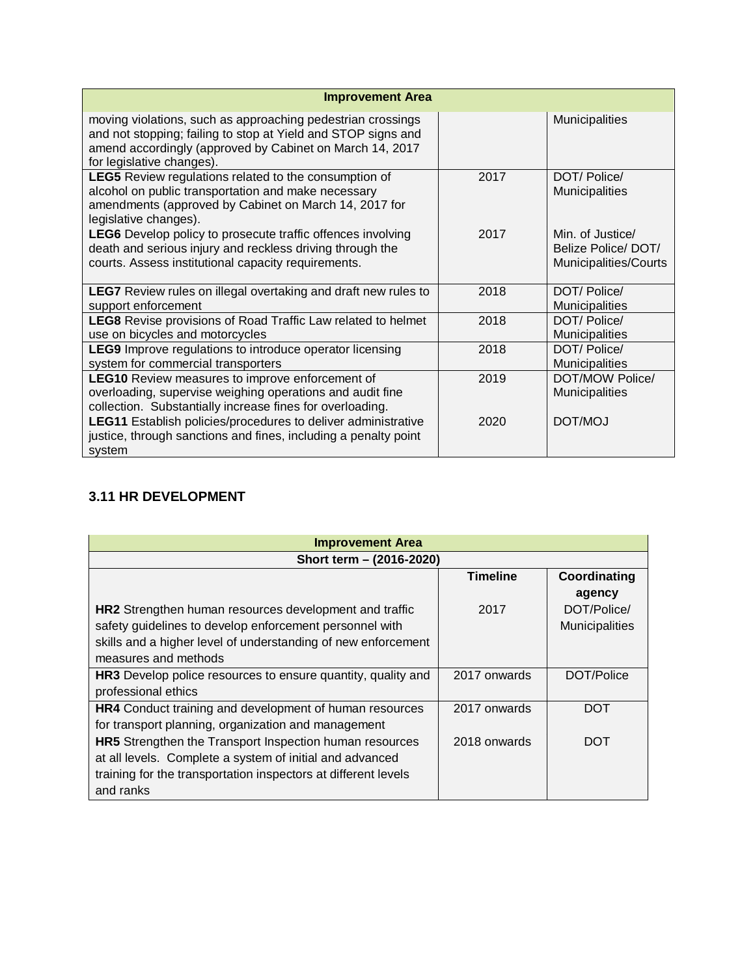| <b>Improvement Area</b>                                                                                                                                                                                               |      |                                                                 |
|-----------------------------------------------------------------------------------------------------------------------------------------------------------------------------------------------------------------------|------|-----------------------------------------------------------------|
| moving violations, such as approaching pedestrian crossings<br>and not stopping; failing to stop at Yield and STOP signs and<br>amend accordingly (approved by Cabinet on March 14, 2017<br>for legislative changes). |      | Municipalities                                                  |
| <b>LEG5</b> Review regulations related to the consumption of<br>alcohol on public transportation and make necessary<br>amendments (approved by Cabinet on March 14, 2017 for<br>legislative changes).                 | 2017 | DOT/Police/<br>Municipalities                                   |
| LEG6 Develop policy to prosecute traffic offences involving<br>death and serious injury and reckless driving through the<br>courts. Assess institutional capacity requirements.                                       | 2017 | Min. of Justice/<br>Belize Police/DOT/<br>Municipalities/Courts |
| <b>LEG7</b> Review rules on illegal overtaking and draft new rules to<br>support enforcement                                                                                                                          | 2018 | DOT/Police/<br><b>Municipalities</b>                            |
| <b>LEG8</b> Revise provisions of Road Traffic Law related to helmet<br>use on bicycles and motorcycles                                                                                                                | 2018 | DOT/Police/<br>Municipalities                                   |
| <b>LEG9</b> Improve regulations to introduce operator licensing<br>system for commercial transporters                                                                                                                 | 2018 | DOT/ Police/<br><b>Municipalities</b>                           |
| <b>LEG10</b> Review measures to improve enforcement of<br>overloading, supervise weighing operations and audit fine<br>collection. Substantially increase fines for overloading.                                      | 2019 | DOT/MOW Police/<br>Municipalities                               |
| LEG11 Establish policies/procedures to deliver administrative<br>justice, through sanctions and fines, including a penalty point<br>system                                                                            | 2020 | DOT/MOJ                                                         |

# **3.11 HR DEVELOPMENT**

| <b>Improvement Area</b>                                        |                 |                |  |  |  |  |
|----------------------------------------------------------------|-----------------|----------------|--|--|--|--|
| Short term - (2016-2020)                                       |                 |                |  |  |  |  |
|                                                                | <b>Timeline</b> | Coordinating   |  |  |  |  |
|                                                                |                 | agency         |  |  |  |  |
| HR2 Strengthen human resources development and traffic         | 2017            | DOT/Police/    |  |  |  |  |
| safety guidelines to develop enforcement personnel with        |                 | Municipalities |  |  |  |  |
| skills and a higher level of understanding of new enforcement  |                 |                |  |  |  |  |
| measures and methods                                           |                 |                |  |  |  |  |
| HR3 Develop police resources to ensure quantity, quality and   | 2017 onwards    | DOT/Police     |  |  |  |  |
| professional ethics                                            |                 |                |  |  |  |  |
| <b>HR4</b> Conduct training and development of human resources | 2017 onwards    | <b>DOT</b>     |  |  |  |  |
| for transport planning, organization and management            |                 |                |  |  |  |  |
| HR5 Strengthen the Transport Inspection human resources        | 2018 onwards    | <b>DOT</b>     |  |  |  |  |
| at all levels. Complete a system of initial and advanced       |                 |                |  |  |  |  |
| training for the transportation inspectors at different levels |                 |                |  |  |  |  |
| and ranks                                                      |                 |                |  |  |  |  |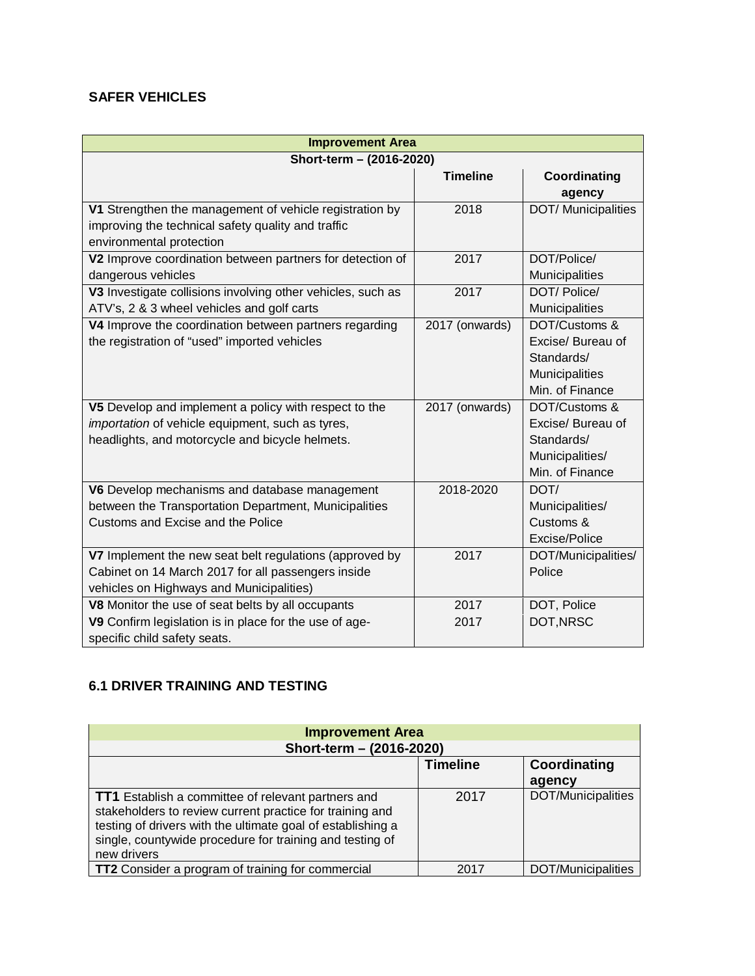#### **SAFER VEHICLES**

| <b>Improvement Area</b>                                     |                 |                            |  |  |  |
|-------------------------------------------------------------|-----------------|----------------------------|--|--|--|
| Short-term - (2016-2020)                                    |                 |                            |  |  |  |
|                                                             | <b>Timeline</b> | Coordinating               |  |  |  |
|                                                             |                 | agency                     |  |  |  |
| V1 Strengthen the management of vehicle registration by     | 2018            | <b>DOT/</b> Municipalities |  |  |  |
| improving the technical safety quality and traffic          |                 |                            |  |  |  |
| environmental protection                                    |                 |                            |  |  |  |
| V2 Improve coordination between partners for detection of   | 2017            | DOT/Police/                |  |  |  |
| dangerous vehicles                                          |                 | Municipalities             |  |  |  |
| V3 Investigate collisions involving other vehicles, such as | 2017            | DOT/ Police/               |  |  |  |
| ATV's, 2 & 3 wheel vehicles and golf carts                  |                 | Municipalities             |  |  |  |
| V4 Improve the coordination between partners regarding      | 2017 (onwards)  | DOT/Customs &              |  |  |  |
| the registration of "used" imported vehicles                |                 | Excise/ Bureau of          |  |  |  |
|                                                             |                 | Standards/                 |  |  |  |
|                                                             |                 | Municipalities             |  |  |  |
|                                                             |                 | Min. of Finance            |  |  |  |
| V5 Develop and implement a policy with respect to the       | 2017 (onwards)  | DOT/Customs &              |  |  |  |
| importation of vehicle equipment, such as tyres,            |                 | Excise/ Bureau of          |  |  |  |
| headlights, and motorcycle and bicycle helmets.             |                 | Standards/                 |  |  |  |
|                                                             |                 | Municipalities/            |  |  |  |
|                                                             |                 | Min. of Finance            |  |  |  |
| V6 Develop mechanisms and database management               | 2018-2020       | DOT/                       |  |  |  |
| between the Transportation Department, Municipalities       |                 | Municipalities/            |  |  |  |
| Customs and Excise and the Police                           |                 | Customs &                  |  |  |  |
|                                                             |                 | Excise/Police              |  |  |  |
| V7 Implement the new seat belt regulations (approved by     | 2017            | DOT/Municipalities/        |  |  |  |
| Cabinet on 14 March 2017 for all passengers inside          |                 | Police                     |  |  |  |
| vehicles on Highways and Municipalities)                    |                 |                            |  |  |  |
| V8 Monitor the use of seat belts by all occupants           | 2017            | DOT, Police                |  |  |  |
| V9 Confirm legislation is in place for the use of age-      | 2017            | DOT, NRSC                  |  |  |  |
| specific child safety seats.                                |                 |                            |  |  |  |

## **6.1 DRIVER TRAINING AND TESTING**

| <b>Improvement Area</b>                                                                                                                                                                                                                                         |                          |                           |  |  |  |
|-----------------------------------------------------------------------------------------------------------------------------------------------------------------------------------------------------------------------------------------------------------------|--------------------------|---------------------------|--|--|--|
|                                                                                                                                                                                                                                                                 | Short-term - (2016-2020) |                           |  |  |  |
|                                                                                                                                                                                                                                                                 | <b>Timeline</b>          | Coordinating              |  |  |  |
|                                                                                                                                                                                                                                                                 |                          | agency                    |  |  |  |
| <b>TT1</b> Establish a committee of relevant partners and<br>stakeholders to review current practice for training and<br>testing of drivers with the ultimate goal of establishing a<br>single, countywide procedure for training and testing of<br>new drivers | 2017                     | DOT/Municipalities        |  |  |  |
| <b>TT2</b> Consider a program of training for commercial                                                                                                                                                                                                        | 2017                     | <b>DOT/Municipalities</b> |  |  |  |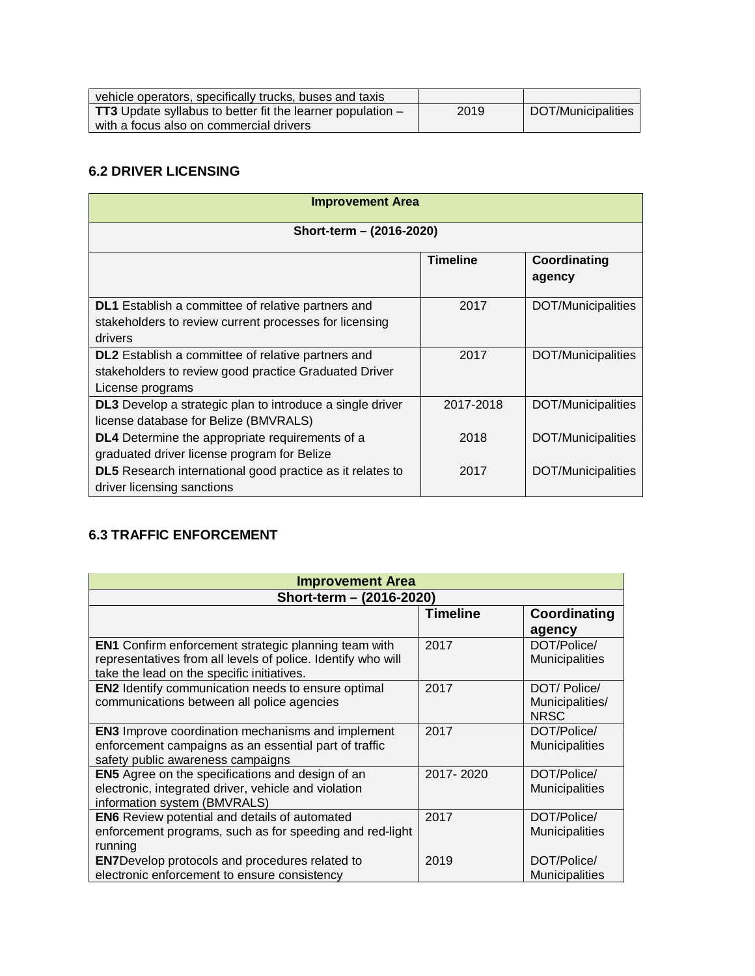| vehicle operators, specifically trucks, buses and taxis                        |      |                    |
|--------------------------------------------------------------------------------|------|--------------------|
| <b>TT3</b> Update syllabus to better fit the learner population $-\frac{1}{2}$ | 2019 | DOT/Municipalities |
| with a focus also on commercial drivers                                        |      |                    |

### **6.2 DRIVER LICENSING**

| <b>Improvement Area</b>                                                                                                                |                 |                        |  |  |  |
|----------------------------------------------------------------------------------------------------------------------------------------|-----------------|------------------------|--|--|--|
| Short-term - (2016-2020)                                                                                                               |                 |                        |  |  |  |
|                                                                                                                                        | <b>Timeline</b> | Coordinating<br>agency |  |  |  |
| DL1 Establish a committee of relative partners and<br>stakeholders to review current processes for licensing<br>drivers                | 2017            | DOT/Municipalities     |  |  |  |
| <b>DL2</b> Establish a committee of relative partners and<br>stakeholders to review good practice Graduated Driver<br>License programs | 2017            | DOT/Municipalities     |  |  |  |
| DL3 Develop a strategic plan to introduce a single driver<br>license database for Belize (BMVRALS)                                     | 2017-2018       | DOT/Municipalities     |  |  |  |
| <b>DL4</b> Determine the appropriate requirements of a<br>graduated driver license program for Belize                                  | 2018            | DOT/Municipalities     |  |  |  |
| <b>DL5</b> Research international good practice as it relates to<br>driver licensing sanctions                                         | 2017            | DOT/Municipalities     |  |  |  |

### **6.3 TRAFFIC ENFORCEMENT**

| <b>Improvement Area</b>                                                                                                                                                   |                 |                                               |  |  |
|---------------------------------------------------------------------------------------------------------------------------------------------------------------------------|-----------------|-----------------------------------------------|--|--|
| Short-term - (2016-2020)                                                                                                                                                  |                 |                                               |  |  |
|                                                                                                                                                                           | <b>Timeline</b> | Coordinating<br>agency                        |  |  |
| <b>EN1</b> Confirm enforcement strategic planning team with<br>representatives from all levels of police. Identify who will<br>take the lead on the specific initiatives. | 2017            | DOT/Police/<br><b>Municipalities</b>          |  |  |
| <b>EN2</b> Identify communication needs to ensure optimal<br>communications between all police agencies                                                                   | 2017            | DOT/Police/<br>Municipalities/<br><b>NRSC</b> |  |  |
| <b>EN3</b> Improve coordination mechanisms and implement<br>enforcement campaigns as an essential part of traffic<br>safety public awareness campaigns                    | 2017            | DOT/Police/<br>Municipalities                 |  |  |
| <b>EN5</b> Agree on the specifications and design of an<br>electronic, integrated driver, vehicle and violation<br>information system (BMVRALS)                           | 2017-2020       | DOT/Police/<br><b>Municipalities</b>          |  |  |
| <b>EN6</b> Review potential and details of automated<br>enforcement programs, such as for speeding and red-light<br>running                                               | 2017            | DOT/Police/<br><b>Municipalities</b>          |  |  |
| <b>EN7Develop protocols and procedures related to</b><br>electronic enforcement to ensure consistency                                                                     | 2019            | DOT/Police/<br>Municipalities                 |  |  |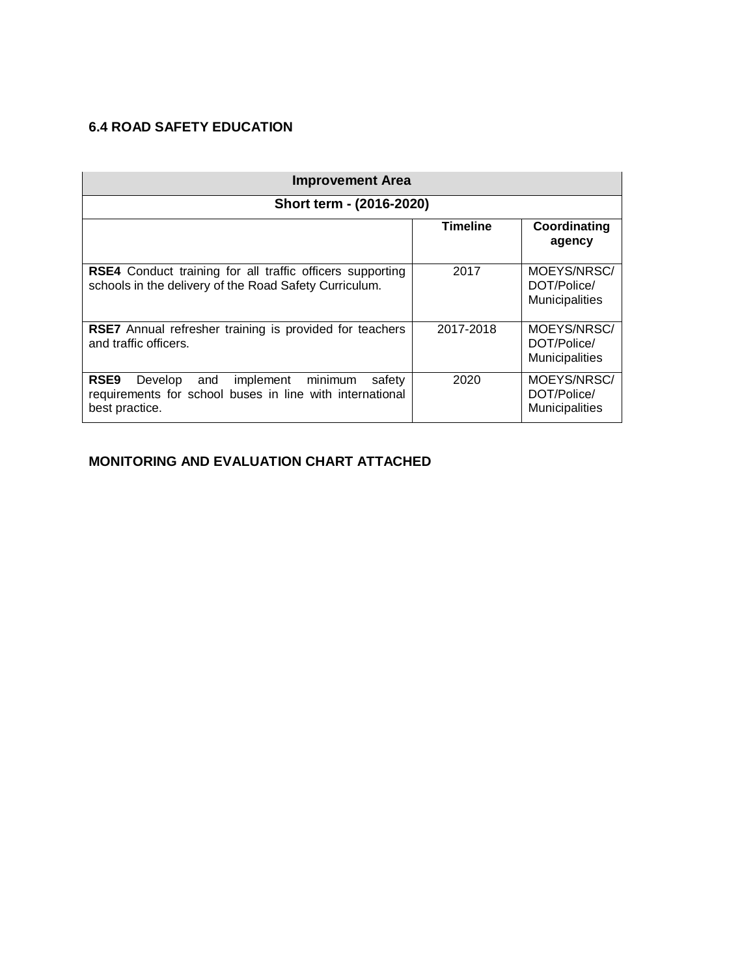## **6.4 ROAD SAFETY EDUCATION**

| <b>Improvement Area</b>                                                                                                                         |                 |                                              |  |  |  |
|-------------------------------------------------------------------------------------------------------------------------------------------------|-----------------|----------------------------------------------|--|--|--|
| Short term - (2016-2020)                                                                                                                        |                 |                                              |  |  |  |
|                                                                                                                                                 | <b>Timeline</b> | Coordinating<br>agency                       |  |  |  |
| RSE4 Conduct training for all traffic officers supporting<br>schools in the delivery of the Road Safety Curriculum.                             | 2017            | MOEYS/NRSC/<br>DOT/Police/<br>Municipalities |  |  |  |
| <b>RSE7</b> Annual refresher training is provided for teachers<br>and traffic officers.                                                         | 2017-2018       | MOEYS/NRSC/<br>DOT/Police/<br>Municipalities |  |  |  |
| RSE <sub>9</sub><br>implement minimum<br>Develop<br>and<br>safety<br>requirements for school buses in line with international<br>best practice. | 2020            | MOEYS/NRSC/<br>DOT/Police/<br>Municipalities |  |  |  |

## **MONITORING AND EVALUATION CHART ATTACHED**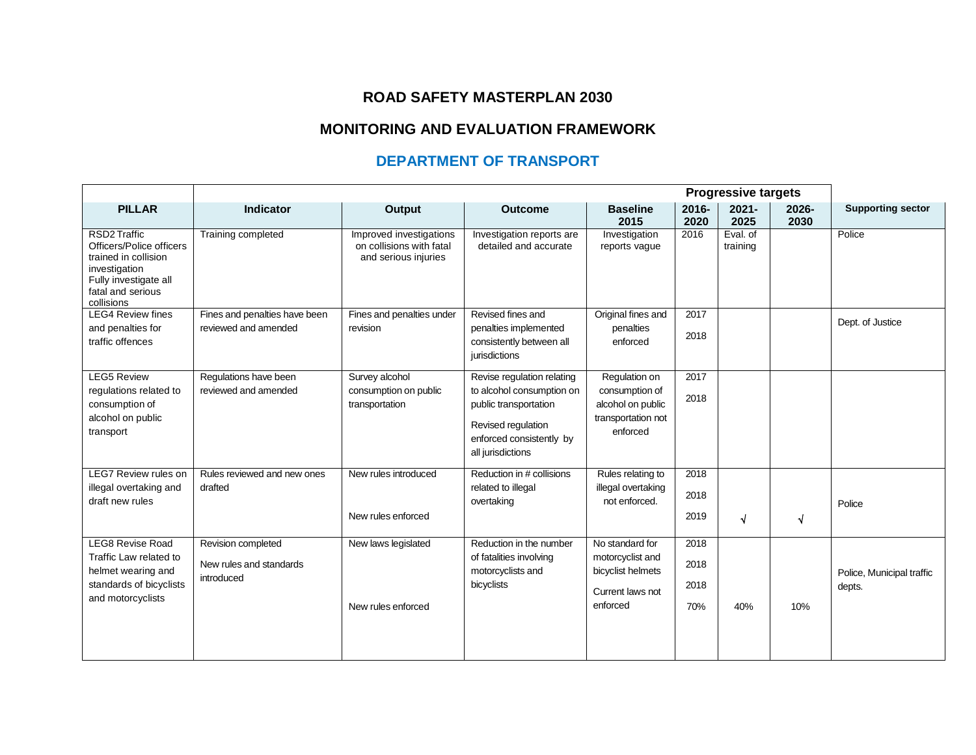### **ROAD SAFETY MASTERPLAN 2030**

## **MONITORING AND EVALUATION FRAMEWORK**

## **DEPARTMENT OF TRANSPORT**

|                                                                                                                                               | <b>Progressive targets</b>                                  |                                                                             |                                                                                                                                                         |                                                                                          |                             |                      |                  |                                     |
|-----------------------------------------------------------------------------------------------------------------------------------------------|-------------------------------------------------------------|-----------------------------------------------------------------------------|---------------------------------------------------------------------------------------------------------------------------------------------------------|------------------------------------------------------------------------------------------|-----------------------------|----------------------|------------------|-------------------------------------|
| <b>PILLAR</b>                                                                                                                                 | Indicator                                                   | <b>Output</b>                                                               | <b>Outcome</b>                                                                                                                                          | <b>Baseline</b><br>2015                                                                  | 2016-<br>2020               | $2021 -$<br>2025     | $2026 -$<br>2030 | <b>Supporting sector</b>            |
| RSD2 Traffic<br>Officers/Police officers<br>trained in collision<br>investigation<br>Fully investigate all<br>fatal and serious<br>collisions | Training completed                                          | Improved investigations<br>on collisions with fatal<br>and serious injuries | Investigation reports are<br>detailed and accurate                                                                                                      | Investigation<br>reports vague                                                           | 2016                        | Eval. of<br>training |                  | Police                              |
| <b>LEG4 Review fines</b><br>and penalties for<br>traffic offences                                                                             | Fines and penalties have been<br>reviewed and amended       | Fines and penalties under<br>revision                                       | Revised fines and<br>penalties implemented<br>consistently between all<br>jurisdictions                                                                 | Original fines and<br>penalties<br>enforced                                              | 2017<br>2018                |                      |                  | Dept. of Justice                    |
| <b>LEG5 Review</b><br>regulations related to<br>consumption of<br>alcohol on public<br>transport                                              | Regulations have been<br>reviewed and amended               | Survey alcohol<br>consumption on public<br>transportation                   | Revise regulation relating<br>to alcohol consumption on<br>public transportation<br>Revised regulation<br>enforced consistently by<br>all jurisdictions | Regulation on<br>consumption of<br>alcohol on public<br>transportation not<br>enforced   | 2017<br>2018                |                      |                  |                                     |
| <b>LEG7 Review rules on</b><br>illegal overtaking and<br>draft new rules                                                                      | Rules reviewed and new ones<br>drafted                      | New rules introduced<br>New rules enforced                                  | Reduction in # collisions<br>related to illegal<br>overtaking                                                                                           | Rules relating to<br>illegal overtaking<br>not enforced.                                 | 2018<br>2018<br>2019        | $\sqrt{ }$           | $\sqrt{ }$       | Police                              |
| <b>LEG8 Revise Road</b><br>Traffic Law related to<br>helmet wearing and<br>standards of bicyclists<br>and motorcyclists                       | Revision completed<br>New rules and standards<br>introduced | New laws legislated<br>New rules enforced                                   | Reduction in the number<br>of fatalities involving<br>motorcyclists and<br>bicyclists                                                                   | No standard for<br>motorcyclist and<br>bicyclist helmets<br>Current laws not<br>enforced | 2018<br>2018<br>2018<br>70% | 40%                  | 10%              | Police, Municipal traffic<br>depts. |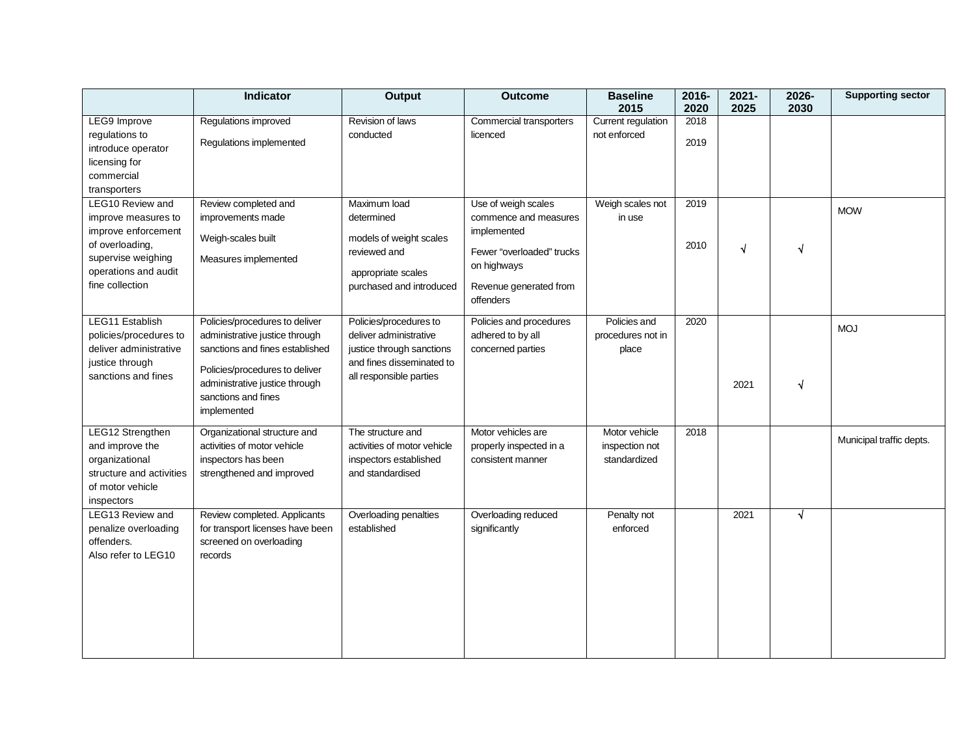|                                                       | <b>Indicator</b>                 | <b>Output</b>               | <b>Outcome</b>            | <b>Baseline</b><br>2015 | 2016-<br>2020 | $2021 -$<br>2025 | 2026-<br>2030 | <b>Supporting sector</b> |
|-------------------------------------------------------|----------------------------------|-----------------------------|---------------------------|-------------------------|---------------|------------------|---------------|--------------------------|
| LEG9 Improve                                          | Regulations improved             | Revision of laws            | Commercial transporters   | Current regulation      | 2018          |                  |               |                          |
| regulations to<br>introduce operator<br>licensing for | Regulations implemented          | conducted                   | licenced                  | not enforced            | 2019          |                  |               |                          |
| commercial                                            |                                  |                             |                           |                         |               |                  |               |                          |
| transporters                                          |                                  |                             |                           |                         |               |                  |               |                          |
| LEG10 Review and                                      | Review completed and             | Maximum load                | Use of weigh scales       | Weigh scales not        | 2019          |                  |               |                          |
| improve measures to                                   | improvements made                | determined                  | commence and measures     | in use                  |               |                  |               | <b>MOW</b>               |
| improve enforcement                                   |                                  |                             | implemented               |                         |               |                  |               |                          |
| of overloading,                                       | Weigh-scales built               | models of weight scales     |                           |                         | 2010          | $\sqrt{ }$       | N             |                          |
| supervise weighing                                    | Measures implemented             | reviewed and                | Fewer "overloaded" trucks |                         |               |                  |               |                          |
| operations and audit                                  |                                  | appropriate scales          | on highways               |                         |               |                  |               |                          |
| fine collection                                       |                                  | purchased and introduced    | Revenue generated from    |                         |               |                  |               |                          |
|                                                       |                                  |                             | offenders                 |                         |               |                  |               |                          |
| LEG11 Establish                                       | Policies/procedures to deliver   | Policies/procedures to      | Policies and procedures   | Policies and            | 2020          |                  |               |                          |
| policies/procedures to                                | administrative justice through   | deliver administrative      | adhered to by all         | procedures not in       |               |                  |               | <b>MOJ</b>               |
| deliver administrative                                | sanctions and fines established  | justice through sanctions   | concerned parties         | place                   |               |                  |               |                          |
| justice through                                       | Policies/procedures to deliver   | and fines disseminated to   |                           |                         |               |                  |               |                          |
| sanctions and fines                                   | administrative justice through   | all responsible parties     |                           |                         |               | 2021             | √             |                          |
|                                                       | sanctions and fines              |                             |                           |                         |               |                  |               |                          |
|                                                       | implemented                      |                             |                           |                         |               |                  |               |                          |
| LEG12 Strengthen                                      | Organizational structure and     | The structure and           | Motor vehicles are        | Motor vehicle           | 2018          |                  |               |                          |
| and improve the                                       | activities of motor vehicle      | activities of motor vehicle | properly inspected in a   | inspection not          |               |                  |               | Municipal traffic depts. |
| organizational                                        | inspectors has been              | inspectors established      | consistent manner         | standardized            |               |                  |               |                          |
| structure and activities                              | strengthened and improved        | and standardised            |                           |                         |               |                  |               |                          |
| of motor vehicle                                      |                                  |                             |                           |                         |               |                  |               |                          |
| inspectors<br>LEG13 Review and                        | Review completed. Applicants     | Overloading penalties       | Overloading reduced       | Penalty not             |               | 2021             | $\sqrt{ }$    |                          |
| penalize overloading                                  | for transport licenses have been | established                 | significantly             | enforced                |               |                  |               |                          |
| offenders.                                            | screened on overloading          |                             |                           |                         |               |                  |               |                          |
| Also refer to LEG10                                   | records                          |                             |                           |                         |               |                  |               |                          |
|                                                       |                                  |                             |                           |                         |               |                  |               |                          |
|                                                       |                                  |                             |                           |                         |               |                  |               |                          |
|                                                       |                                  |                             |                           |                         |               |                  |               |                          |
|                                                       |                                  |                             |                           |                         |               |                  |               |                          |
|                                                       |                                  |                             |                           |                         |               |                  |               |                          |
|                                                       |                                  |                             |                           |                         |               |                  |               |                          |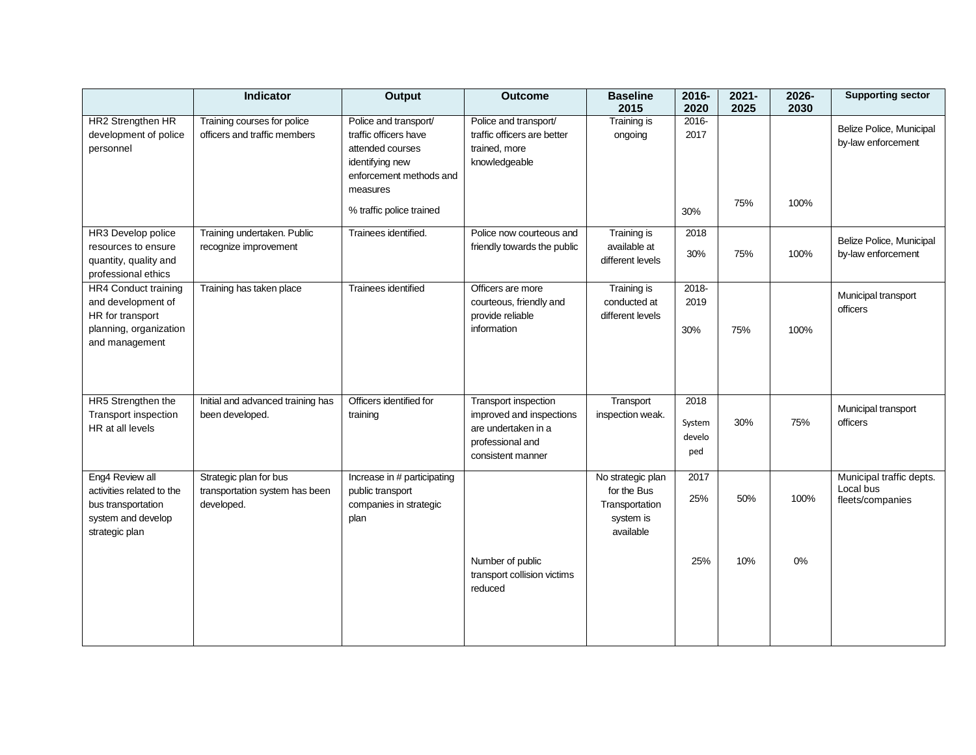|                                                                                                            | Indicator                                                              | <b>Output</b>                                                                                                                | <b>Outcome</b>                                                                                                          | <b>Baseline</b><br>2015                                                      | 2016-<br>2020                   | $2021 -$<br>2025 | 2026-<br>2030 | <b>Supporting sector</b>                                  |
|------------------------------------------------------------------------------------------------------------|------------------------------------------------------------------------|------------------------------------------------------------------------------------------------------------------------------|-------------------------------------------------------------------------------------------------------------------------|------------------------------------------------------------------------------|---------------------------------|------------------|---------------|-----------------------------------------------------------|
| HR2 Strengthen HR<br>development of police<br>personnel                                                    | Training courses for police<br>officers and traffic members            | Police and transport/<br>traffic officers have<br>attended courses<br>identifying new<br>enforcement methods and<br>measures | Police and transport/<br>traffic officers are better<br>trained, more<br>knowledgeable                                  | Training is<br>ongoing                                                       | 2016-<br>2017                   |                  |               | Belize Police, Municipal<br>by-law enforcement            |
|                                                                                                            |                                                                        | % traffic police trained                                                                                                     |                                                                                                                         |                                                                              | 30%                             | 75%              | 100%          |                                                           |
| HR3 Develop police<br>resources to ensure<br>quantity, quality and<br>professional ethics                  | Training undertaken. Public<br>recognize improvement                   | Trainees identified.                                                                                                         | Police now courteous and<br>friendly towards the public                                                                 | <b>Training is</b><br>available at<br>different levels                       | 2018<br>30%                     | 75%              | 100%          | Belize Police, Municipal<br>by-law enforcement            |
| HR4 Conduct training<br>and development of<br>HR for transport<br>planning, organization<br>and management | Training has taken place                                               | Trainees identified                                                                                                          | Officers are more<br>courteous, friendly and<br>provide reliable<br>information                                         | <b>Training is</b><br>conducted at<br>different levels                       | 2018-<br>2019<br>30%            | 75%              | 100%          | Municipal transport<br>officers                           |
| HR5 Strengthen the<br>Transport inspection<br>HR at all levels                                             | Initial and advanced training has<br>been developed.                   | Officers identified for<br>training                                                                                          | <b>Transport inspection</b><br>improved and inspections<br>are undertaken in a<br>professional and<br>consistent manner | Transport<br>inspection weak.                                                | 2018<br>System<br>develo<br>ped | 30%              | 75%           | Municipal transport<br>officers                           |
| Eng4 Review all<br>activities related to the<br>bus transportation<br>system and develop<br>strategic plan | Strategic plan for bus<br>transportation system has been<br>developed. | Increase in # participating<br>public transport<br>companies in strategic<br>plan                                            |                                                                                                                         | No strategic plan<br>for the Bus<br>Transportation<br>system is<br>available | 2017<br>25%                     | 50%              | 100%          | Municipal traffic depts.<br>Local bus<br>fleets/companies |
|                                                                                                            |                                                                        |                                                                                                                              | Number of public<br>transport collision victims<br>reduced                                                              |                                                                              | 25%                             | 10%              | $0\%$         |                                                           |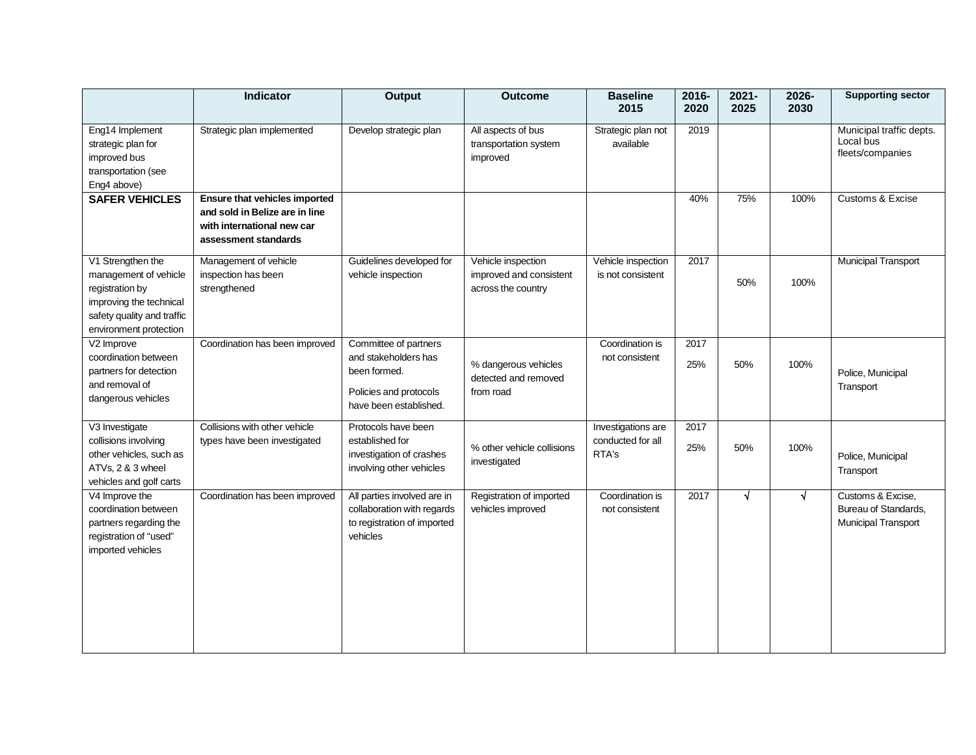|                                                                                                                                                  | <b>Indicator</b>                                                                                                      | <b>Output</b>                                                                                                     | <b>Outcome</b>                                                      | <b>Baseline</b><br>2015                          | 2016-<br>2020 | $2021 -$<br>2025 | 2026-<br>2030 | <b>Supporting sector</b>                                         |
|--------------------------------------------------------------------------------------------------------------------------------------------------|-----------------------------------------------------------------------------------------------------------------------|-------------------------------------------------------------------------------------------------------------------|---------------------------------------------------------------------|--------------------------------------------------|---------------|------------------|---------------|------------------------------------------------------------------|
| Eng14 Implement<br>strategic plan for<br>improved bus<br>transportation (see<br>Eng4 above)                                                      | Strategic plan implemented                                                                                            | Develop strategic plan                                                                                            | All aspects of bus<br>transportation system<br>improved             | Strategic plan not<br>available                  | 2019          |                  |               | Municipal traffic depts.<br>Local bus<br>fleets/companies        |
| <b>SAFER VEHICLES</b>                                                                                                                            | Ensure that vehicles imported<br>and sold in Belize are in line<br>with international new car<br>assessment standards |                                                                                                                   |                                                                     |                                                  | 40%           | 75%              | 100%          | Customs & Excise                                                 |
| V1 Strengthen the<br>management of vehicle<br>registration by<br>improving the technical<br>safety quality and traffic<br>environment protection | Management of vehicle<br>inspection has been<br>strengthened                                                          | Guidelines developed for<br>vehicle inspection                                                                    | Vehicle inspection<br>improved and consistent<br>across the country | Vehicle inspection<br>is not consistent          | 2017          | 50%              | 100%          | Municipal Transport                                              |
| V2 Improve<br>coordination between<br>partners for detection<br>and removal of<br>dangerous vehicles                                             | Coordination has been improved                                                                                        | Committee of partners<br>and stakeholders has<br>been formed.<br>Policies and protocols<br>have been established. | % dangerous vehicles<br>detected and removed<br>from road           | Coordination is<br>not consistent                | 2017<br>25%   | 50%              | 100%          | Police, Municipal<br>Transport                                   |
| V3 Investigate<br>collisions involving<br>other vehicles, such as<br>ATVs, 2 & 3 wheel<br>vehicles and golf carts                                | Collisions with other vehicle<br>types have been investigated                                                         | Protocols have been<br>established for<br>investigation of crashes<br>involving other vehicles                    | % other vehicle collisions<br>investigated                          | Investigations are<br>conducted for all<br>RTA's | 2017<br>25%   | 50%              | 100%          | Police, Municipal<br>Transport                                   |
| V4 Improve the<br>coordination between<br>partners regarding the<br>registration of "used"<br>imported vehicles                                  | Coordination has been improved                                                                                        | All parties involved are in<br>collaboration with regards<br>to registration of imported<br>vehicles              | Registration of imported<br>vehicles improved                       | Coordination is<br>not consistent                | 2017          | $\sqrt{ }$       | √             | Customs & Excise,<br>Bureau of Standards,<br>Municipal Transport |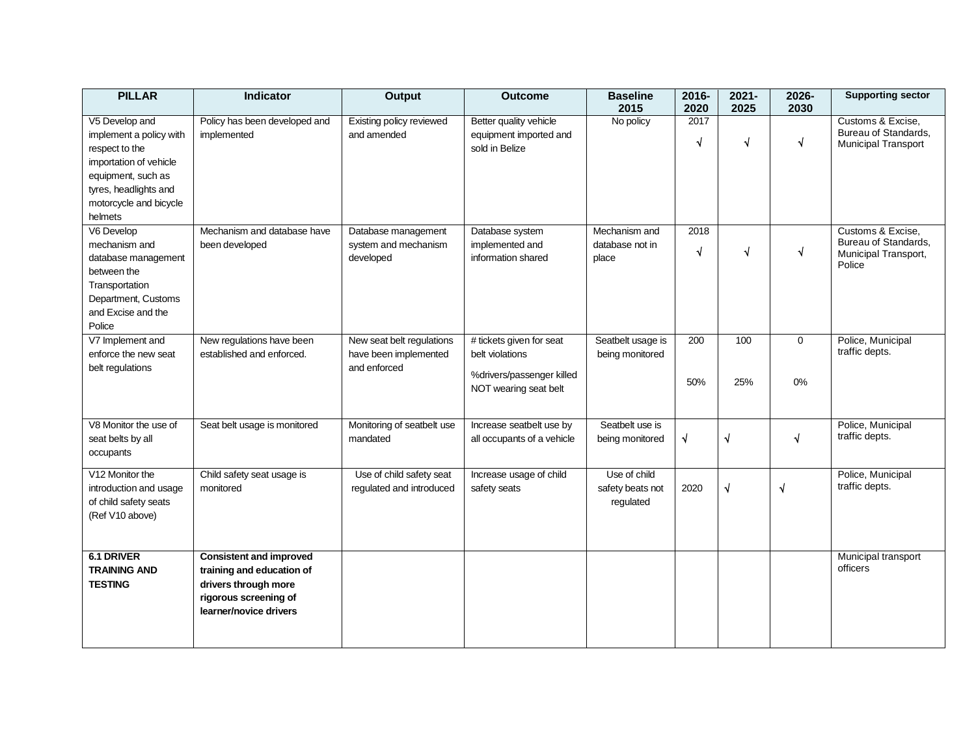| <b>PILLAR</b>                                                                                                                                                             | <b>Indicator</b>                                                                                                                       | <b>Output</b>                                                      | <b>Outcome</b>                                                                                    | <b>Baseline</b><br>2015                       | 2016-<br>2020      | $2021 -$<br>2025 | 2026-<br>2030 | <b>Supporting sector</b>                                                    |
|---------------------------------------------------------------------------------------------------------------------------------------------------------------------------|----------------------------------------------------------------------------------------------------------------------------------------|--------------------------------------------------------------------|---------------------------------------------------------------------------------------------------|-----------------------------------------------|--------------------|------------------|---------------|-----------------------------------------------------------------------------|
| V5 Develop and<br>implement a policy with<br>respect to the<br>importation of vehicle<br>equipment, such as<br>tyres, headlights and<br>motorcycle and bicycle<br>helmets | Policy has been developed and<br>implemented                                                                                           | Existing policy reviewed<br>and amended                            | Better quality vehicle<br>equipment imported and<br>sold in Belize                                | No policy                                     | 2017<br>$\sqrt{ }$ | $\sqrt{ }$       | √             | Customs & Excise.<br>Bureau of Standards.<br><b>Municipal Transport</b>     |
| V6 Develop<br>mechanism and<br>database management<br>between the<br>Transportation<br>Department, Customs<br>and Excise and the<br>Police                                | Mechanism and database have<br>been developed                                                                                          | Database management<br>system and mechanism<br>developed           | Database system<br>implemented and<br>information shared                                          | Mechanism and<br>database not in<br>place     | 2018<br>$\sqrt{ }$ | $\sqrt{ }$       | $\sqrt{}$     | Customs & Excise,<br>Bureau of Standards,<br>Municipal Transport,<br>Police |
| V7 Implement and<br>enforce the new seat<br>belt regulations                                                                                                              | New regulations have been<br>established and enforced.                                                                                 | New seat belt regulations<br>have been implemented<br>and enforced | # tickets given for seat<br>belt violations<br>%drivers/passenger killed<br>NOT wearing seat belt | Seatbelt usage is<br>being monitored          | 200<br>50%         | 100<br>25%       | 0<br>0%       | Police, Municipal<br>traffic depts.                                         |
| V8 Monitor the use of<br>seat belts by all<br>occupants                                                                                                                   | Seat belt usage is monitored                                                                                                           | Monitoring of seatbelt use<br>mandated                             | Increase seatbelt use by<br>all occupants of a vehicle                                            | Seatbelt use is<br>being monitored            | $\sqrt{ }$         | $\sqrt{ }$       | $\sqrt{ }$    | Police, Municipal<br>traffic depts.                                         |
| V12 Monitor the<br>introduction and usage<br>of child safety seats<br>(Ref V10 above)                                                                                     | Child safety seat usage is<br>monitored                                                                                                | Use of child safety seat<br>regulated and introduced               | Increase usage of child<br>safety seats                                                           | Use of child<br>safety beats not<br>regulated | 2020               | $\sqrt{ }$       | $\sqrt{ }$    | Police, Municipal<br>traffic depts.                                         |
| 6.1 DRIVER<br><b>TRAINING AND</b><br><b>TESTING</b>                                                                                                                       | <b>Consistent and improved</b><br>training and education of<br>drivers through more<br>rigorous screening of<br>learner/novice drivers |                                                                    |                                                                                                   |                                               |                    |                  |               | Municipal transport<br>officers                                             |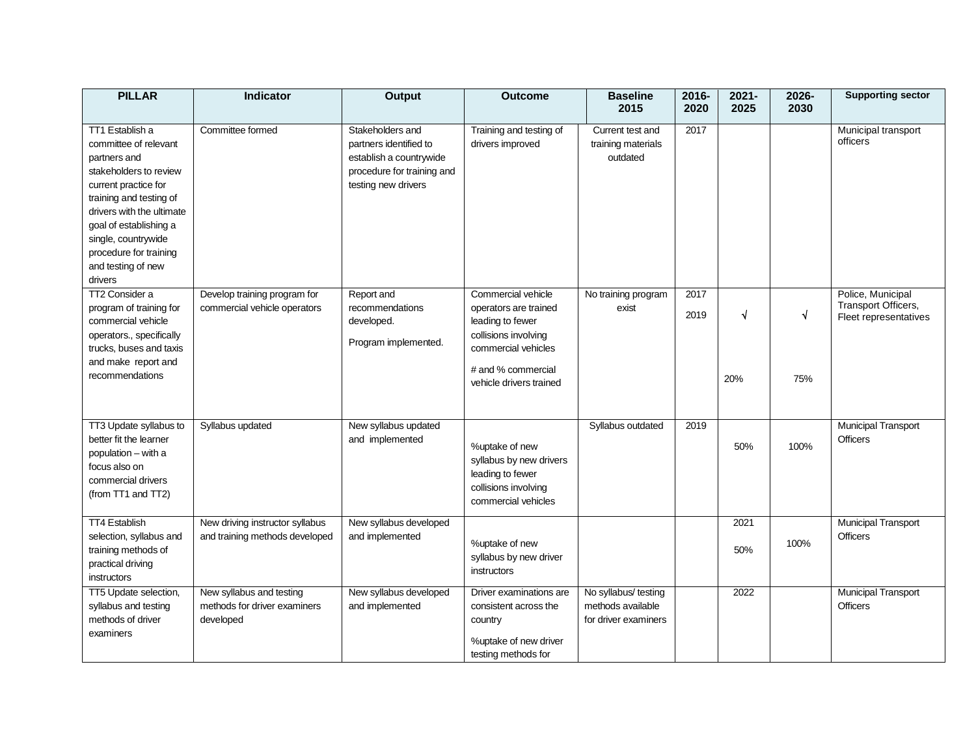| <b>PILLAR</b>                                                                                                                                                                                                                                                                  | <b>Indicator</b>                                                      | <b>Output</b>                                                                                                              | <b>Outcome</b>                                                                                                                                                  | <b>Baseline</b><br>2015                                           | 2016-<br>2020 | $2021 -$<br>2025 | 2026-<br>2030 | <b>Supporting sector</b>                                          |
|--------------------------------------------------------------------------------------------------------------------------------------------------------------------------------------------------------------------------------------------------------------------------------|-----------------------------------------------------------------------|----------------------------------------------------------------------------------------------------------------------------|-----------------------------------------------------------------------------------------------------------------------------------------------------------------|-------------------------------------------------------------------|---------------|------------------|---------------|-------------------------------------------------------------------|
| TT1 Establish a<br>committee of relevant<br>partners and<br>stakeholders to review<br>current practice for<br>training and testing of<br>drivers with the ultimate<br>goal of establishing a<br>single, countrywide<br>procedure for training<br>and testing of new<br>drivers | Committee formed                                                      | Stakeholders and<br>partners identified to<br>establish a countrywide<br>procedure for training and<br>testing new drivers | Training and testing of<br>drivers improved                                                                                                                     | Current test and<br>training materials<br>outdated                | 2017          |                  |               | Municipal transport<br>officers                                   |
| TT2 Consider a<br>program of training for<br>commercial vehicle<br>operators., specifically<br>trucks, buses and taxis<br>and make report and<br>recommendations                                                                                                               | Develop training program for<br>commercial vehicle operators          | Report and<br>recommendations<br>developed.<br>Program implemented.                                                        | Commercial vehicle<br>operators are trained<br>leading to fewer<br>collisions involving<br>commercial vehicles<br># and % commercial<br>vehicle drivers trained | No training program<br>exist                                      | 2017<br>2019  | √<br>20%         | √<br>75%      | Police, Municipal<br>Transport Officers,<br>Fleet representatives |
| TT3 Update syllabus to<br>better fit the learner<br>population - with a<br>focus also on<br>commercial drivers<br>(from TT1 and TT2)                                                                                                                                           | Syllabus updated                                                      | New syllabus updated<br>and implemented                                                                                    | %uptake of new<br>syllabus by new drivers<br>leading to fewer<br>collisions involving<br>commercial vehicles                                                    | Syllabus outdated                                                 | 2019          | 50%              | 100%          | Municipal Transport<br><b>Officers</b>                            |
| TT4 Establish<br>selection, syllabus and<br>training methods of<br>practical driving<br>instructors                                                                                                                                                                            | New driving instructor syllabus<br>and training methods developed     | New syllabus developed<br>and implemented                                                                                  | %uptake of new<br>syllabus by new driver<br>instructors                                                                                                         |                                                                   |               | 2021<br>50%      | 100%          | <b>Municipal Transport</b><br><b>Officers</b>                     |
| TT5 Update selection,<br>syllabus and testing<br>methods of driver<br>examiners                                                                                                                                                                                                | New syllabus and testing<br>methods for driver examiners<br>developed | New syllabus developed<br>and implemented                                                                                  | Driver examinations are<br>consistent across the<br>country<br>%uptake of new driver<br>testing methods for                                                     | No syllabus/ testing<br>methods available<br>for driver examiners |               | 2022             |               | <b>Municipal Transport</b><br><b>Officers</b>                     |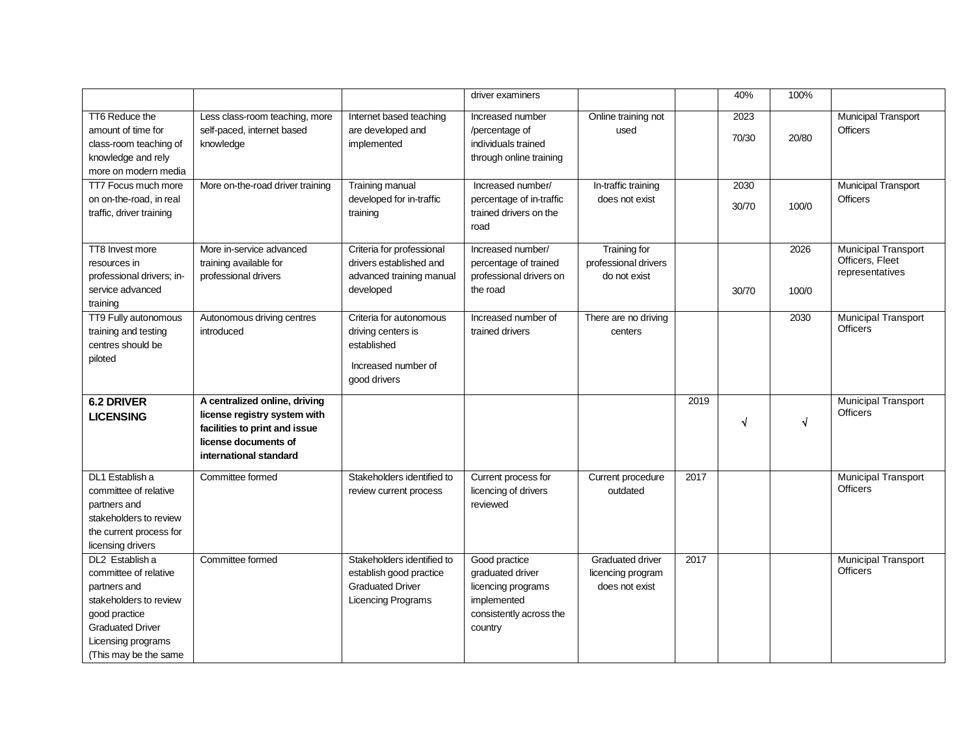|                                        |                                                |                                                    | driver examiners                  |                                     |      | 40%   | 100%       |                                               |
|----------------------------------------|------------------------------------------------|----------------------------------------------------|-----------------------------------|-------------------------------------|------|-------|------------|-----------------------------------------------|
| TT6 Reduce the                         | Less class-room teaching, more                 | Internet based teaching                            | Increased number                  | Online training not                 |      | 2023  |            | <b>Municipal Transport</b>                    |
| amount of time for                     | self-paced, internet based                     | are developed and                                  | /percentage of                    | used                                |      |       |            | <b>Officers</b>                               |
| class-room teaching of                 | knowledge                                      | implemented                                        | individuals trained               |                                     |      | 70/30 | 20/80      |                                               |
| knowledge and rely                     |                                                |                                                    | through online training           |                                     |      |       |            |                                               |
| more on modern media                   |                                                |                                                    |                                   |                                     |      |       |            |                                               |
| TT7 Focus much more                    | More on-the-road driver training               | Training manual                                    | Increased number/                 | In-traffic training                 |      | 2030  |            | <b>Municipal Transport</b>                    |
| on on-the-road, in real                |                                                | developed for in-traffic                           | percentage of in-traffic          | does not exist                      |      | 30/70 | 100/0      | <b>Officers</b>                               |
| traffic, driver training               |                                                | training                                           | trained drivers on the            |                                     |      |       |            |                                               |
|                                        |                                                |                                                    | road                              |                                     |      |       |            |                                               |
| TT8 Invest more                        | More in-service advanced                       | Criteria for professional                          | Increased number/                 | Training for                        |      |       | 2026       | <b>Municipal Transport</b>                    |
| resources in                           | training available for                         | drivers established and                            | percentage of trained             | professional drivers                |      |       |            | Officers, Fleet                               |
| professional drivers; in-              | professional drivers                           | advanced training manual                           | professional drivers on           | do not exist                        |      |       |            | representatives                               |
| service advanced                       |                                                | developed                                          | the road                          |                                     |      | 30/70 | 100/0      |                                               |
| training                               |                                                |                                                    |                                   |                                     |      |       |            |                                               |
| TT9 Fully autonomous                   | Autonomous driving centres                     | Criteria for autonomous                            | Increased number of               | There are no driving                |      |       | 2030       | <b>Municipal Transport</b>                    |
| training and testing                   | introduced                                     | driving centers is                                 | trained drivers                   | centers                             |      |       |            | <b>Officers</b>                               |
| centres should be                      |                                                | established                                        |                                   |                                     |      |       |            |                                               |
| piloted                                |                                                | Increased number of                                |                                   |                                     |      |       |            |                                               |
|                                        |                                                | good drivers                                       |                                   |                                     |      |       |            |                                               |
|                                        |                                                |                                                    |                                   |                                     |      |       |            |                                               |
| <b>6.2 DRIVER</b>                      | A centralized online, driving                  |                                                    |                                   |                                     | 2019 |       |            | <b>Municipal Transport</b><br><b>Officers</b> |
| <b>LICENSING</b>                       | license registry system with                   |                                                    |                                   |                                     |      | √     | $\sqrt{2}$ |                                               |
|                                        | facilities to print and issue                  |                                                    |                                   |                                     |      |       |            |                                               |
|                                        | license documents of<br>international standard |                                                    |                                   |                                     |      |       |            |                                               |
|                                        |                                                |                                                    |                                   |                                     |      |       |            |                                               |
| DL1 Establish a                        | Committee formed                               | Stakeholders identified to                         | Current process for               | Current procedure                   | 2017 |       |            | <b>Municipal Transport</b>                    |
| committee of relative                  |                                                | review current process                             | licencing of drivers              | outdated                            |      |       |            | <b>Officers</b>                               |
| partners and                           |                                                |                                                    | reviewed                          |                                     |      |       |            |                                               |
| stakeholders to review                 |                                                |                                                    |                                   |                                     |      |       |            |                                               |
| the current process for                |                                                |                                                    |                                   |                                     |      |       |            |                                               |
| licensing drivers                      |                                                |                                                    |                                   |                                     |      |       |            |                                               |
| DL2 Establish a                        | Committee formed                               | Stakeholders identified to                         | Good practice                     | <b>Graduated driver</b>             | 2017 |       |            | <b>Municipal Transport</b><br><b>Officers</b> |
| committee of relative                  |                                                | establish good practice<br><b>Graduated Driver</b> | graduated driver                  | licencing program<br>does not exist |      |       |            |                                               |
| partners and<br>stakeholders to review |                                                | Licencing Programs                                 | licencing programs<br>implemented |                                     |      |       |            |                                               |
| good practice                          |                                                |                                                    | consistently across the           |                                     |      |       |            |                                               |
| <b>Graduated Driver</b>                |                                                |                                                    | country                           |                                     |      |       |            |                                               |
| Licensing programs                     |                                                |                                                    |                                   |                                     |      |       |            |                                               |
| (This may be the same                  |                                                |                                                    |                                   |                                     |      |       |            |                                               |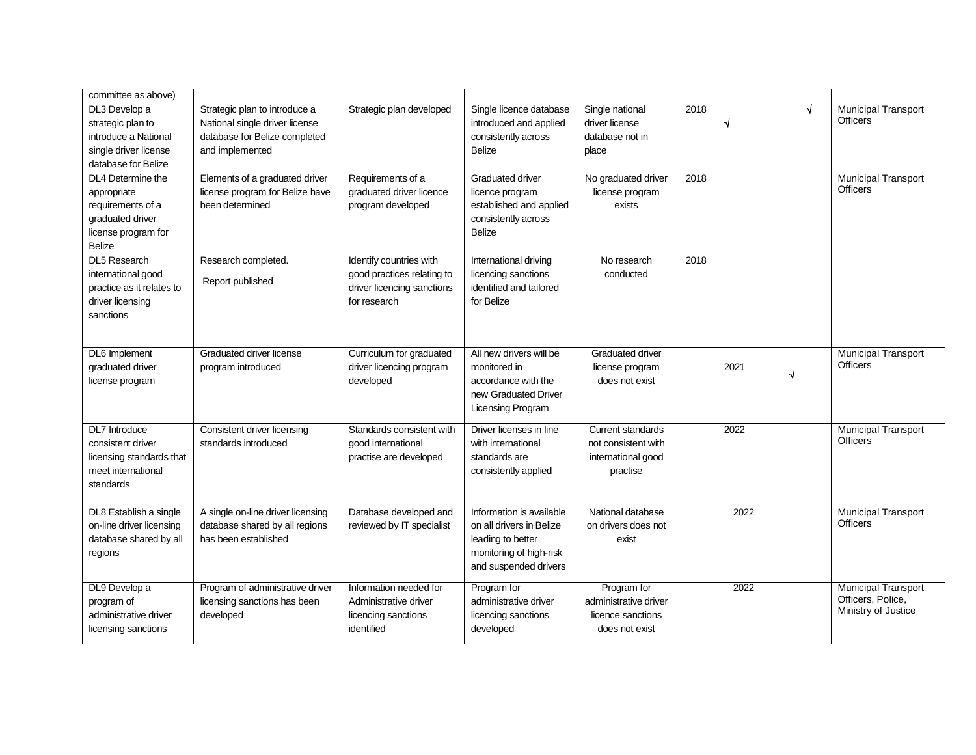| committee as above)       |                                   |                            |                          |                          |      |           |   |                                                 |
|---------------------------|-----------------------------------|----------------------------|--------------------------|--------------------------|------|-----------|---|-------------------------------------------------|
| DL3 Develop a             | Strategic plan to introduce a     | Strategic plan developed   | Single licence database  | Single national          | 2018 |           |   | Municipal Transport                             |
| strategic plan to         | National single driver license    |                            | introduced and applied   | driver license           |      | $\sqrt{}$ |   | <b>Officers</b>                                 |
| introduce a National      | database for Belize completed     |                            | consistently across      | database not in          |      |           |   |                                                 |
| single driver license     | and implemented                   |                            | <b>Belize</b>            | place                    |      |           |   |                                                 |
| database for Belize       |                                   |                            |                          |                          |      |           |   |                                                 |
| DL4 Determine the         | Elements of a graduated driver    | Requirements of a          | Graduated driver         | No graduated driver      | 2018 |           |   | <b>Municipal Transport</b>                      |
| appropriate               | license program for Belize have   | graduated driver licence   | licence program          | license program          |      |           |   | <b>Officers</b>                                 |
| requirements of a         | been determined                   | program developed          | established and applied  | exists                   |      |           |   |                                                 |
| graduated driver          |                                   |                            | consistently across      |                          |      |           |   |                                                 |
| license program for       |                                   |                            | Belize                   |                          |      |           |   |                                                 |
| <b>Belize</b>             |                                   |                            |                          |                          |      |           |   |                                                 |
| <b>DL5 Research</b>       | Research completed.               | Identify countries with    | International driving    | No research              | 2018 |           |   |                                                 |
| international good        |                                   | good practices relating to | licencing sanctions      | conducted                |      |           |   |                                                 |
| practice as it relates to | Report published                  | driver licencing sanctions | identified and tailored  |                          |      |           |   |                                                 |
| driver licensing          |                                   | for research               | for Belize               |                          |      |           |   |                                                 |
| sanctions                 |                                   |                            |                          |                          |      |           |   |                                                 |
|                           |                                   |                            |                          |                          |      |           |   |                                                 |
|                           |                                   |                            |                          |                          |      |           |   |                                                 |
| DL6 Implement             | Graduated driver license          | Curriculum for graduated   | All new drivers will be  | <b>Graduated driver</b>  |      |           |   | <b>Municipal Transport</b>                      |
| graduated driver          | program introduced                | driver licencing program   | monitored in             | license program          |      | 2021      | N | <b>Officers</b>                                 |
| license program           |                                   | developed                  | accordance with the      | does not exist           |      |           |   |                                                 |
|                           |                                   |                            | new Graduated Driver     |                          |      |           |   |                                                 |
|                           |                                   |                            | <b>Licensing Program</b> |                          |      |           |   |                                                 |
| DL7 Introduce             | Consistent driver licensing       | Standards consistent with  | Driver licenses in line  | <b>Current standards</b> |      | 2022      |   | <b>Municipal Transport</b>                      |
| consistent driver         | standards introduced              | good international         | with international       | not consistent with      |      |           |   | <b>Officers</b>                                 |
| licensing standards that  |                                   | practise are developed     | standards are            | international good       |      |           |   |                                                 |
| meet international        |                                   |                            | consistently applied     | practise                 |      |           |   |                                                 |
| standards                 |                                   |                            |                          |                          |      |           |   |                                                 |
|                           |                                   |                            |                          |                          |      |           |   |                                                 |
| DL8 Establish a single    | A single on-line driver licensing | Database developed and     | Information is available | National database        |      | 2022      |   | <b>Municipal Transport</b>                      |
| on-line driver licensing  | database shared by all regions    | reviewed by IT specialist  | on all drivers in Belize | on drivers does not      |      |           |   | <b>Officers</b>                                 |
| database shared by all    | has been established              |                            | leading to better        | exist                    |      |           |   |                                                 |
| regions                   |                                   |                            | monitoring of high-risk  |                          |      |           |   |                                                 |
|                           |                                   |                            | and suspended drivers    |                          |      |           |   |                                                 |
|                           |                                   |                            |                          |                          |      |           |   |                                                 |
| DL9 Develop a             | Program of administrative driver  | Information needed for     | Program for              | Program for              |      | 2022      |   | <b>Municipal Transport</b><br>Officers, Police, |
| program of                | licensing sanctions has been      | Administrative driver      | administrative driver    | administrative driver    |      |           |   | Ministry of Justice                             |
| administrative driver     | developed                         | licencing sanctions        | licencing sanctions      | licence sanctions        |      |           |   |                                                 |
| licensing sanctions       |                                   | identified                 | developed                | does not exist           |      |           |   |                                                 |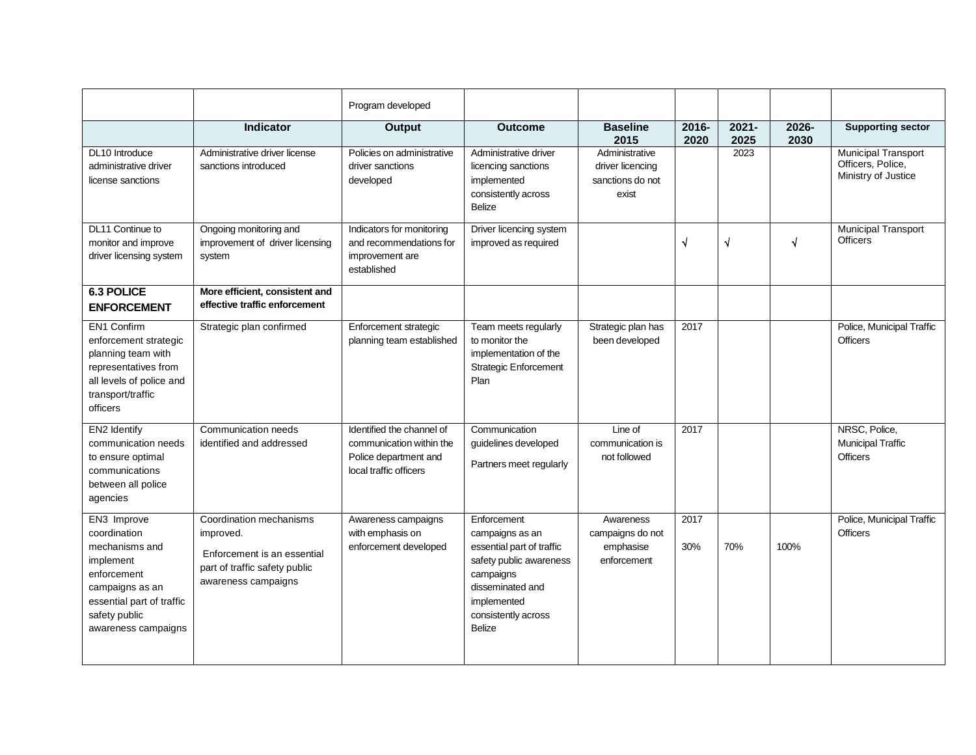|                                                                                                                                                                   |                                                                                                                             | Program developed                                                                                        |                                                                                                                                                                                |                                                                 |               |                  |               |                                                                        |
|-------------------------------------------------------------------------------------------------------------------------------------------------------------------|-----------------------------------------------------------------------------------------------------------------------------|----------------------------------------------------------------------------------------------------------|--------------------------------------------------------------------------------------------------------------------------------------------------------------------------------|-----------------------------------------------------------------|---------------|------------------|---------------|------------------------------------------------------------------------|
|                                                                                                                                                                   | Indicator                                                                                                                   | <b>Output</b>                                                                                            | <b>Outcome</b>                                                                                                                                                                 | <b>Baseline</b><br>2015                                         | 2016-<br>2020 | $2021 -$<br>2025 | 2026-<br>2030 | <b>Supporting sector</b>                                               |
| DL10 Introduce<br>administrative driver<br>license sanctions                                                                                                      | Administrative driver license<br>sanctions introduced                                                                       | Policies on administrative<br>driver sanctions<br>developed                                              | Administrative driver<br>licencing sanctions<br>implemented<br>consistently across<br><b>Belize</b>                                                                            | Administrative<br>driver licencing<br>sanctions do not<br>exist |               | 2023             |               | <b>Municipal Transport</b><br>Officers, Police,<br>Ministry of Justice |
| DL11 Continue to<br>monitor and improve<br>driver licensing system                                                                                                | Ongoing monitoring and<br>improvement of driver licensing<br>system                                                         | Indicators for monitoring<br>and recommendations for<br>improvement are<br>established                   | Driver licencing system<br>improved as required                                                                                                                                |                                                                 | √             | $\sqrt{ }$       | $\sqrt{ }$    | <b>Municipal Transport</b><br><b>Officers</b>                          |
| <b>6.3 POLICE</b><br><b>ENFORCEMENT</b>                                                                                                                           | More efficient, consistent and<br>effective traffic enforcement                                                             |                                                                                                          |                                                                                                                                                                                |                                                                 |               |                  |               |                                                                        |
| EN1 Confirm<br>enforcement strategic<br>planning team with<br>representatives from<br>all levels of police and<br>transport/traffic<br>officers                   | Strategic plan confirmed                                                                                                    | Enforcement strategic<br>planning team established                                                       | Team meets regularly<br>to monitor the<br>implementation of the<br><b>Strategic Enforcement</b><br>Plan                                                                        | Strategic plan has<br>been developed                            | 2017          |                  |               | Police, Municipal Traffic<br><b>Officers</b>                           |
| EN2 Identify<br>communication needs<br>to ensure optimal<br>communications<br>between all police<br>agencies                                                      | Communication needs<br>identified and addressed                                                                             | Identified the channel of<br>communication within the<br>Police department and<br>local traffic officers | Communication<br>guidelines developed<br>Partners meet regularly                                                                                                               | Line of<br>communication is<br>not followed                     | 2017          |                  |               | NRSC, Police,<br><b>Municipal Traffic</b><br><b>Officers</b>           |
| EN3 Improve<br>coordination<br>mechanisms and<br>implement<br>enforcement<br>campaigns as an<br>essential part of traffic<br>safety public<br>awareness campaigns | Coordination mechanisms<br>improved.<br>Enforcement is an essential<br>part of traffic safety public<br>awareness campaigns | Awareness campaigns<br>with emphasis on<br>enforcement developed                                         | Enforcement<br>campaigns as an<br>essential part of traffic<br>safety public awareness<br>campaigns<br>disseminated and<br>implemented<br>consistently across<br><b>Belize</b> | Awareness<br>campaigns do not<br>emphasise<br>enforcement       | 2017<br>30%   | 70%              | 100%          | Police, Municipal Traffic<br><b>Officers</b>                           |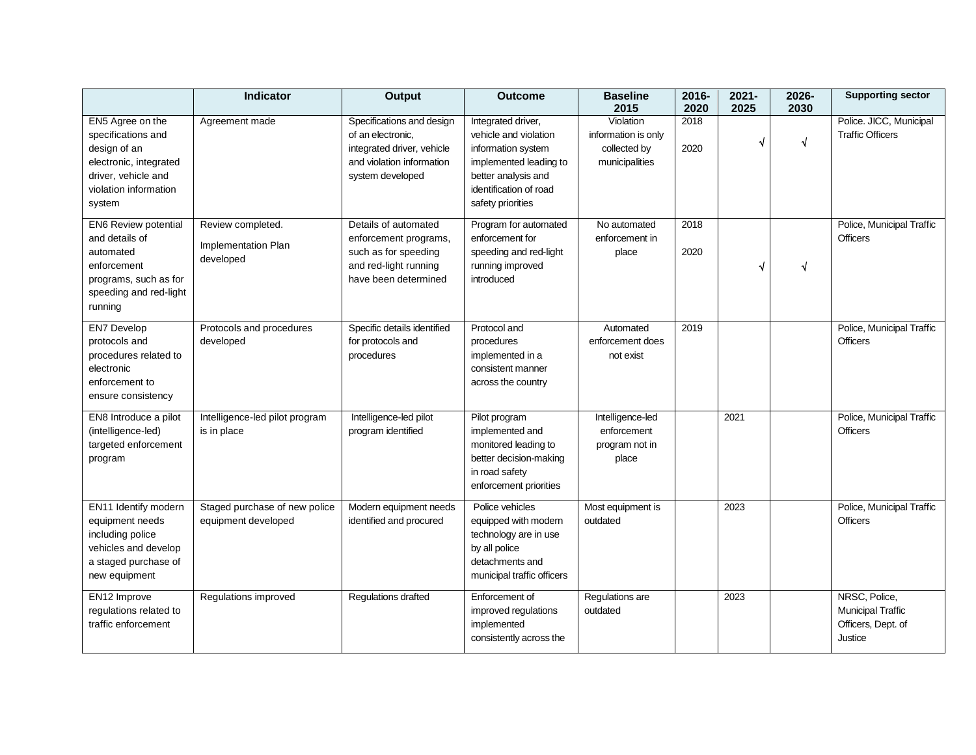|                                                                                                                                            | <b>Indicator</b>                                      | Output                                                                                                                        | <b>Outcome</b>                                                                                                                                                    | <b>Baseline</b><br>2015                                            | 2016-<br>2020 | $2021 -$<br>2025 | 2026-<br>2030 | <b>Supporting sector</b>                                            |
|--------------------------------------------------------------------------------------------------------------------------------------------|-------------------------------------------------------|-------------------------------------------------------------------------------------------------------------------------------|-------------------------------------------------------------------------------------------------------------------------------------------------------------------|--------------------------------------------------------------------|---------------|------------------|---------------|---------------------------------------------------------------------|
| EN5 Agree on the<br>specifications and<br>design of an<br>electronic, integrated<br>driver, vehicle and<br>violation information<br>system | Agreement made                                        | Specifications and design<br>of an electronic.<br>integrated driver, vehicle<br>and violation information<br>system developed | Integrated driver,<br>vehicle and violation<br>information system<br>implemented leading to<br>better analysis and<br>identification of road<br>safety priorities | Violation<br>information is only<br>collected by<br>municipalities | 2018<br>2020  | √                | $\sqrt{ }$    | Police. JICC, Municipal<br><b>Traffic Officers</b>                  |
| EN6 Review potential<br>and details of<br>automated<br>enforcement<br>programs, such as for<br>speeding and red-light<br>running           | Review completed.<br>Implementation Plan<br>developed | Details of automated<br>enforcement programs,<br>such as for speeding<br>and red-light running<br>have been determined        | Program for automated<br>enforcement for<br>speeding and red-light<br>running improved<br>introduced                                                              | No automated<br>enforcement in<br>place                            | 2018<br>2020  | √                | $\sqrt{}$     | Police, Municipal Traffic<br><b>Officers</b>                        |
| <b>EN7 Develop</b><br>protocols and<br>procedures related to<br>electronic<br>enforcement to<br>ensure consistency                         | Protocols and procedures<br>developed                 | Specific details identified<br>for protocols and<br>procedures                                                                | Protocol and<br>procedures<br>implemented in a<br>consistent manner<br>across the country                                                                         | Automated<br>enforcement does<br>not exist                         | 2019          |                  |               | Police, Municipal Traffic<br><b>Officers</b>                        |
| EN8 Introduce a pilot<br>(intelligence-led)<br>targeted enforcement<br>program                                                             | Intelligence-led pilot program<br>is in place         | Intelligence-led pilot<br>program identified                                                                                  | Pilot program<br>implemented and<br>monitored leading to<br>better decision-making<br>in road safety<br>enforcement priorities                                    | Intelligence-led<br>enforcement<br>program not in<br>place         |               | 2021             |               | Police, Municipal Traffic<br><b>Officers</b>                        |
| EN11 Identify modern<br>equipment needs<br>including police<br>vehicles and develop<br>a staged purchase of<br>new equipment               | Staged purchase of new police<br>equipment developed  | Modern equipment needs<br>identified and procured                                                                             | Police vehicles<br>equipped with modern<br>technology are in use<br>by all police<br>detachments and<br>municipal traffic officers                                | Most equipment is<br>outdated                                      |               | 2023             |               | Police, Municipal Traffic<br><b>Officers</b>                        |
| EN12 Improve<br>regulations related to<br>traffic enforcement                                                                              | Regulations improved                                  | Regulations drafted                                                                                                           | Enforcement of<br>improved regulations<br>implemented<br>consistently across the                                                                                  | Regulations are<br>outdated                                        |               | 2023             |               | NRSC, Police,<br>Municipal Traffic<br>Officers, Dept. of<br>Justice |